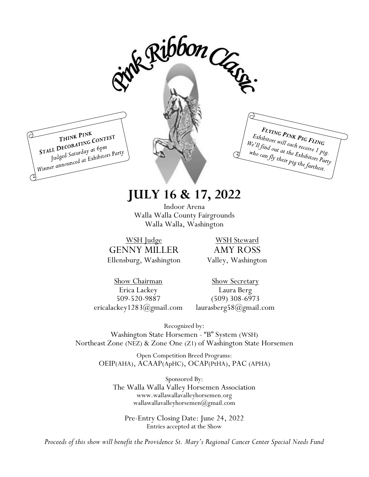

# **JULY 16 & 17, 2022**

Indoor Arena Walla Walla County Fairgrounds Walla Walla, Washington

WSH Judge GENNY MILLER Ellensburg, Washington

WSH Steward AMY ROSS Valley, Washington

Show Chairman Erica Lackey 509-520-9887 ericalackey1283@gmail.com

Show Secretary Laura Berg (509) 308-6973 laurasberg58@gmail.com

Recognized by: Washington State Horsemen - "B" System (WSH) Northeast Zone (NEZ) & Zone One (Z1) of Washington State Horsemen

> Open Competition Breed Programs: OEIP(AHA), ACAAP(ApHC), OCAP(PtHA), PAC (APHA)

Sponsored By: The Walla Walla Valley Horsemen Association www.wallawallavalleyhorsemen.org wallawallavalleyhorsemen@gmail.com

Pre-Entry Closing Date: June 24, 2022 Entries accepted at the Show

*Proceeds of this show will benefit the Providence St. Mary's Regional Cancer Center Special Needs Fund*